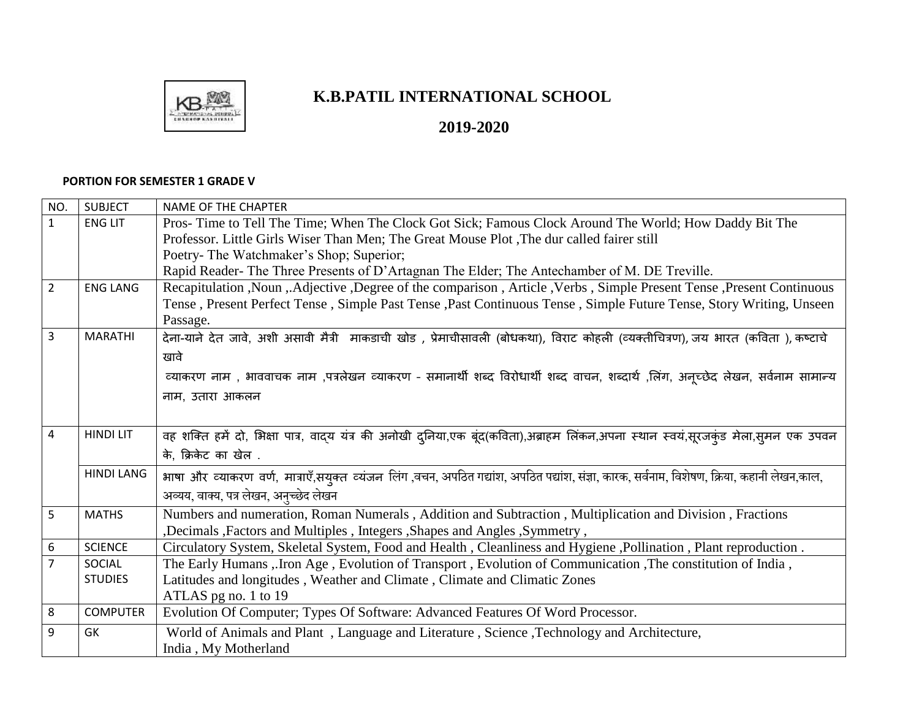

## **K.B.PATIL INTERNATIONAL SCHOOL**

**2019-2020** 

## **PORTION FOR SEMESTER 1 GRADE V**

| NO.            | <b>SUBJECT</b>    | NAME OF THE CHAPTER                                                                                                                          |
|----------------|-------------------|----------------------------------------------------------------------------------------------------------------------------------------------|
| $\mathbf{1}$   | <b>ENG LIT</b>    | Pros-Time to Tell The Time; When The Clock Got Sick; Famous Clock Around The World; How Daddy Bit The                                        |
|                |                   | Professor. Little Girls Wiser Than Men; The Great Mouse Plot , The dur called fairer still                                                   |
|                |                   | Poetry- The Watchmaker's Shop; Superior;                                                                                                     |
|                |                   | Rapid Reader-The Three Presents of D'Artagnan The Elder; The Antechamber of M. DE Treville.                                                  |
| $\overline{2}$ | <b>ENG LANG</b>   | Recapitulation , Noun , Adjective , Degree of the comparison, Article , Verbs, Simple Present Tense, Present Continuous                      |
|                |                   | Tense, Present Perfect Tense, Simple Past Tense, Past Continuous Tense, Simple Future Tense, Story Writing, Unseen                           |
|                |                   | Passage.                                                                                                                                     |
| 3              | <b>MARATHI</b>    | देना-याने देत जावे, अशी असावी मैत्री माकडाची खोड , प्रेमाचीसावली (बोधकथा), विराट कोहली (व्यक्तीचित्रण), जय भारत (कविता), कष्टाचे             |
|                |                   | खावे                                                                                                                                         |
|                |                   | व्याकरण नाम , भाववाचक नाम ,पत्रलेखन व्याकरण - समानार्थी शब्द विरोधार्थी शब्द वाचन, शब्दार्थ ,लिंग, अनूच्छेद लेखन, सर्वनाम सामान्य            |
|                |                   | नाम, उतारा आकलन                                                                                                                              |
|                |                   |                                                                                                                                              |
| 4              | <b>HINDI LIT</b>  | वह शक्ति हमें दो, भिक्षा पात्र, वादय यंत्र की अनोखी दुनिया,एक बूंद(कविता),अब्राहम लिंकन,अपना स्थान स्वयं,सूरजकुंड मेला,सुमन एक उपवन          |
|                |                   | के, क्रिकेट का खेल .                                                                                                                         |
|                | <b>HINDI LANG</b> | भाषा और व्याकरण वर्ण, मात्राएँ,सयुक्त व्यंजन लिंग ,वचन, अपठित गद्यांश, अपठित पद्यांश, संज्ञा, कारक, सर्वनाम, विशेषण, क्रिया, कहानी लेखन,काल, |
|                |                   | अव्यय, वाक्य, पत्र लेखन, अनुच्छेद लेखन                                                                                                       |
| 5              | <b>MATHS</b>      | Numbers and numeration, Roman Numerals, Addition and Subtraction, Multiplication and Division, Fractions                                     |
|                |                   | , Decimals , Factors and Multiples, Integers , Shapes and Angles , Symmetry,                                                                 |
| 6              | <b>SCIENCE</b>    | Circulatory System, Skeletal System, Food and Health, Cleanliness and Hygiene, Pollination, Plant reproduction.                              |
| $\overline{7}$ | SOCIAL            | The Early Humans , Iron Age, Evolution of Transport, Evolution of Communication, The constitution of India,                                  |
|                | <b>STUDIES</b>    | Latitudes and longitudes, Weather and Climate, Climate and Climatic Zones                                                                    |
|                |                   | ATLAS pg no. 1 to 19                                                                                                                         |
| 8              | <b>COMPUTER</b>   | Evolution Of Computer; Types Of Software: Advanced Features Of Word Processor.                                                               |
| 9              | GK                | World of Animals and Plant, Language and Literature, Science, Technology and Architecture,                                                   |
|                |                   | India, My Motherland                                                                                                                         |